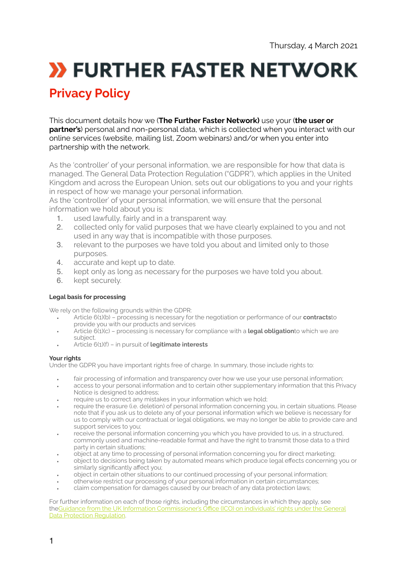# **X FURTHER FASTER NETWORK**

# **Privacy Policy**

This document details how we (**The Further Faster Network)** use your (**the user or partner's**) personal and non-personal data, which is collected when you interact with our online services (website, mailing list, Zoom webinars) and/or when you enter into partnership with the network.

As the 'controller' of your personal information, we are responsible for how that data is managed. The General Data Protection Regulation ("GDPR"), which applies in the United Kingdom and across the European Union, sets out our obligations to you and your rights in respect of how we manage your personal information.

As the 'controller' of your personal information, we will ensure that the personal information we hold about you is:

- 1. used lawfully, fairly and in a transparent way.
- 2. collected only for valid purposes that we have clearly explained to you and not used in any way that is incompatible with those purposes.
- 3. relevant to the purposes we have told you about and limited only to those purposes.
- 4. accurate and kept up to date.
- 5. kept only as long as necessary for the purposes we have told you about.
- 6. kept securely.

#### **Legal basis for processing**

We rely on the following grounds within the GDPR:

- Article 6(1)(b) processing is necessary for the negotiation or performance of our **contracts**to provide you with our products and services
- Article 6(1)(c) processing is necessary for compliance with a **legal obligation**to which we are subject.
- Article 6(1)(f) in pursuit of **legitimate interests**

#### **Your rights**

Under the GDPR you have important rights free of charge. In summary, those include rights to:

- fair processing of information and transparency over how we use your use personal information;<br>• access to your personal information and to certain other supplementary information that this Priv
- access to your personal information and to certain other supplementary information that this Privacy Notice is designed to address;
- require us to correct any mistakes in your information which we hold;
- require the erasure (i.e. deletion) of personal information concerning you, in certain situations. Please note that if you ask us to delete any of your personal information which we believe is necessary for us to comply with our contractual or legal obligations, we may no longer be able to provide care and support services to you;
- receive the personal information concerning you which you have provided to us, in a structured, commonly used and machine-readable format and have the right to transmit those data to a third party in certain situations:
- object at any time to processing of personal information concerning you for direct marketing;
- object to decisions being taken by automated means which produce legal effects concerning you or similarly significantly affect you;
- object in certain other situations to our continued processing of your personal information;
- otherwise restrict our processing of your personal information in certain circumstances;
- claim compensation for damages caused by our breach of any data protection laws;

For further information on each of those rights, including the circumstances in which they apply, see the[Guidance from the UK Information Commissioner's O](http://ico.org.uk/for-organisations/guide-to-the-general-data-protection-regulation-gdpr/individual-rights/)ffice (ICO) on individuals' rights under the General [Data Protection Regulation](http://ico.org.uk/for-organisations/guide-to-the-general-data-protection-regulation-gdpr/individual-rights/).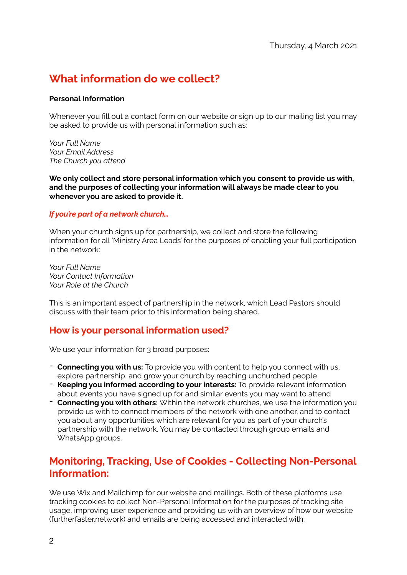# **What information do we collect?**

#### **Personal Information**

Whenever you fill out a contact form on our website or sign up to our mailing list you may be asked to provide us with personal information such as:

*Your Full Name Your Email Address The Church you attend* 

**We only collect and store personal information which you consent to provide us with, and the purposes of collecting your information will always be made clear to you whenever you are asked to provide it.** 

#### *If you're part of a network church…*

When your church signs up for partnership, we collect and store the following information for all 'Ministry Area Leads' for the purposes of enabling your full participation in the network:

*Your Full Name Your Contact Information Your Role at the Church* 

This is an important aspect of partnership in the network, which Lead Pastors should discuss with their team prior to this information being shared.

# **How is your personal information used?**

We use your information for 3 broad purposes:

- **Connecting you with us:** To provide you with content to help you connect with us, explore partnership, and grow your church by reaching unchurched people
- **Keeping you informed according to your interests:** To provide relevant information about events you have signed up for and similar events you may want to attend
- **Connecting you with others:** Within the network churches, we use the information you provide us with to connect members of the network with one another, and to contact you about any opportunities which are relevant for you as part of your church's partnership with the network. You may be contacted through group emails and WhatsApp groups.

# **Monitoring, Tracking, Use of Cookies - Collecting Non-Personal Information:**

We use Wix and Mailchimp for our website and mailings. Both of these platforms use tracking cookies to collect Non-Personal Information for the purposes of tracking site usage, improving user experience and providing us with an overview of how our website (furtherfaster.network) and emails are being accessed and interacted with.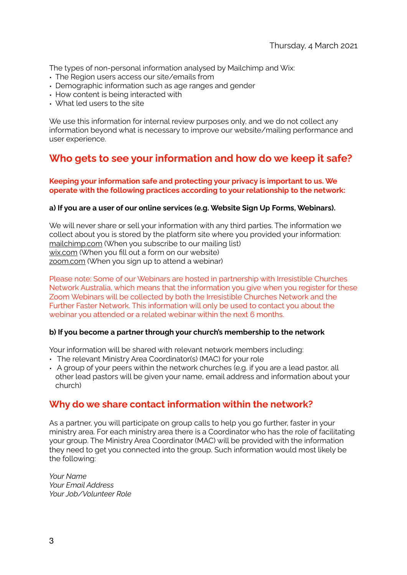The types of non-personal information analysed by Mailchimp and Wix:

- The Region users access our site/emails from
- Demographic information such as age ranges and gender
- How content is being interacted with
- What led users to the site

We use this information for internal review purposes only, and we do not collect any information beyond what is necessary to improve our website/mailing performance and user experience.

# **Who gets to see your information and how do we keep it safe?**

#### **Keeping your information safe and protecting your privacy is important to us. We operate with the following practices according to your relationship to the network:**

#### **a) If you are a user of our online services (e.g. Website Sign Up Forms, Webinars).**

We will never share or sell your information with any third parties. The information we collect about you is stored by the platform site where you provided your information: [mailchimp.com](http://mailchimp.com) (When you subscribe to our mailing list) [wix.com](http://wix.com) (When you fill out a form on our website) [zoom.com](http://zoom.com) (When you sign up to attend a webinar)

Please note: Some of our Webinars are hosted in partnership with Irresistible Churches Network Australia, which means that the information you give when you register for these Zoom Webinars will be collected by both the Irresistible Churches Network and the Further Faster Network. This information will only be used to contact you about the webinar you attended or a related webinar within the next 6 months.

#### **b) If you become a partner through your church's membership to the network**

Your information will be shared with relevant network members including:

- The relevant Ministry Area Coordinator(s) (MAC) for your role
- A group of your peers within the network churches (e.g. if you are a lead pastor, all other lead pastors will be given your name, email address and information about your church)

# **Why do we share contact information within the network?**

As a partner, you will participate on group calls to help you go further, faster in your ministry area. For each ministry area there is a Coordinator who has the role of facilitating your group. The Ministry Area Coordinator (MAC) will be provided with the information they need to get you connected into the group. Such information would most likely be the following:

*Your Name Your Email Address Your Job/Volunteer Role*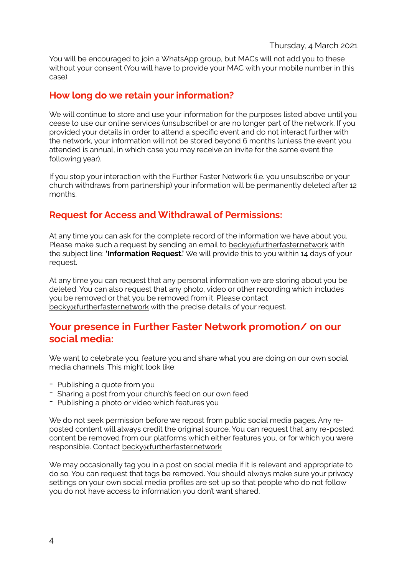#### Thursday, 4 March 2021

You will be encouraged to join a WhatsApp group, but MACs will not add you to these without your consent (You will have to provide your MAC with your mobile number in this case).

### **How long do we retain your information?**

We will continue to store and use your information for the purposes listed above until you cease to use our online services (unsubscribe) or are no longer part of the network. If you provided your details in order to attend a specific event and do not interact further with the network, your information will not be stored beyond 6 months (unless the event you attended is annual, in which case you may receive an invite for the same event the following year).

If you stop your interaction with the Further Faster Network (i.e. you unsubscribe or your church withdraws from partnership) your information will be permanently deleted after 12 months.

# **Request for Access and Withdrawal of Permissions:**

At any time you can ask for the complete record of the information we have about you. Please make such a request by sending an email to [becky@furtherfaster.network](mailto:becky@furtherfaster.network) with the subject line: **'Information Request.'** We will provide this to you within 14 days of your request.

At any time you can request that any personal information we are storing about you be deleted. You can also request that any photo, video or other recording which includes you be removed or that you be removed from it. Please contact [becky@furtherfaster.network](mailto:becky@furtherfaster.network) with the precise details of your request.

# **Your presence in Further Faster Network promotion/ on our social media:**

We want to celebrate you, feature you and share what you are doing on our own social media channels. This might look like:

- Publishing a quote from you
- Sharing a post from your church's feed on our own feed
- Publishing a photo or video which features you

We do not seek permission before we repost from public social media pages. Any reposted content will always credit the original source. You can request that any re-posted content be removed from our platforms which either features you, or for which you were responsible. Contact [becky@furtherfaster.network](mailto:becky@furtherfaster.network) 

We may occasionally tag you in a post on social media if it is relevant and appropriate to do so. You can request that tags be removed. You should always make sure your privacy settings on your own social media profiles are set up so that people who do not follow you do not have access to information you don't want shared.